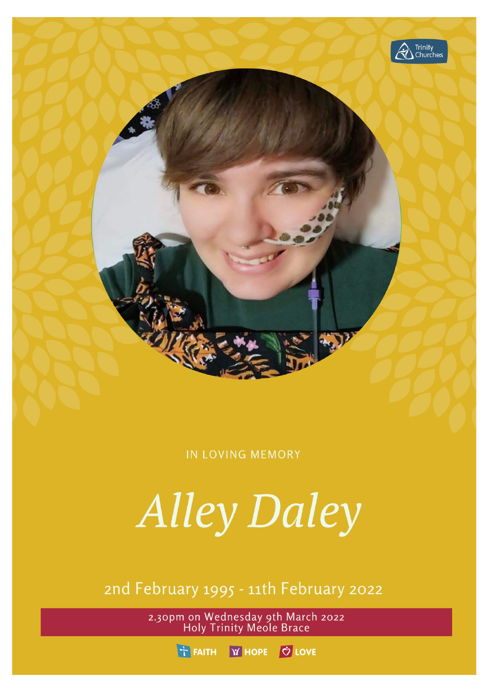

**IN LOVING MEMORY** 

**Alley Daley** 

2nd February 1995 - 11th February 2022

2.30pm on Wednesday 9th March 2022<br>Holy Trinity Meole Brace

THE FAITH **Y' HOPE C** LOVE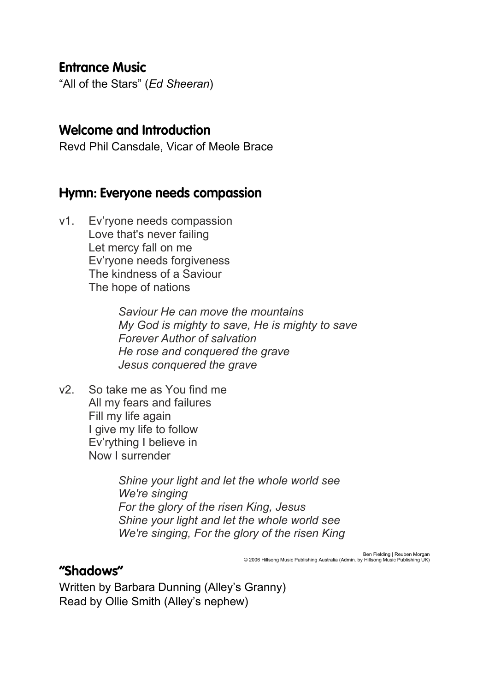#### **Entrance Music**

"All of the Stars" (*Ed Sheeran*)

#### **Welcome and Introduction**

Revd Phil Cansdale, Vicar of Meole Brace

#### Hymn: Everyone needs compassion

v1. Ev'ryone needs compassion Love that's never failing Let mercy fall on me Ev'ryone needs forgiveness The kindness of a Saviour The hope of nations

> *Saviour He can move the mountains My God is mighty to save, He is mighty to save Forever Author of salvation He rose and conquered the grave Jesus conquered the grave*

v2. So take me as You find me All my fears and failures Fill my life again I give my life to follow Ev'rything I believe in Now I surrender

> *Shine your light and let the whole world see We're singing For the glory of the risen King, Jesus Shine your light and let the whole world see We're singing, For the glory of the risen King*

> > Ben Fielding | Reuben Morgan © 2006 Hillsong Music Publishing Australia (Admin. by Hillsong Music Publishing UK)

#### "Shadows"

Written by Barbara Dunning (Alley's Granny) Read by Ollie Smith (Alley's nephew)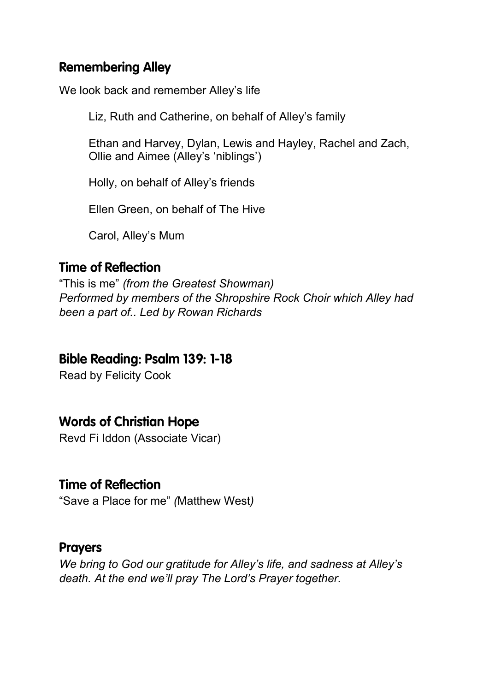# **Remembering Alley**

We look back and remember Alley's life

Liz, Ruth and Catherine, on behalf of Alley's family

Ethan and Harvey, Dylan, Lewis and Hayley, Rachel and Zach, Ollie and Aimee (Alley's 'niblings')

Holly, on behalf of Alley's friends

Ellen Green, on behalf of The Hive

Carol, Alley's Mum

# **Time of Reflection**

"This is me" *(from the Greatest Showman) Performed by members of the Shropshire Rock Choir which Alley had been a part of.. Led by Rowan Richards*

# **Bible Reading: Psalm 139: 1-18**

Read by Felicity Cook

# **Words of Christian Hope**

Revd Fi Iddon (Associate Vicar)

# **Time of Reflection**

"Save a Place for me" *(*Matthew West*)*

#### **Prayers**

*We bring to God our gratitude for Alley's life, and sadness at Alley's death. At the end we'll pray The Lord's Prayer together.*